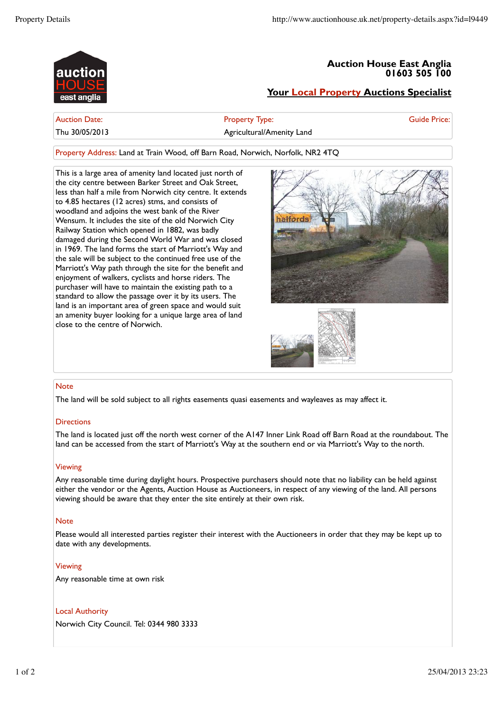

| <b>Auction Date:</b> | <b>Property Type:</b>     |
|----------------------|---------------------------|
| Thu 30/05/2013       | Agricultural/Amenity Land |

Guide Price:

### Property Address: Land at Train Wood, off Barn Road, Norwich, Norfolk, NR2 4TQ

This is a large area of amenity land located just north of the city centre between Barker Street and Oak Street, less than half a mile from Norwich city centre. It extends to 4.85 hectares (12 acres) stms, and consists of woodland and adjoins the west bank of the River Wensum. It includes the site of the old Norwich City Railway Station which opened in 1882, was badly damaged during the Second World War and was closed in 1969. The land forms the start of Marriott's Way and the sale will be subject to the continued free use of the Marriott's Way path through the site for the benefit and enjoyment of walkers, cyclists and horse riders. The purchaser will have to maintain the existing path to a standard to allow the passage over it by its users. The land is an important area of green space and would suit an amenity buyer looking for a unique large area of land close to the centre of Norwich.





#### Note

The land will be sold subject to all rights easements quasi easements and wayleaves as may affect it.

#### **Directions**

The land is located just off the north west corner of the A147 Inner Link Road off Barn Road at the roundabout. The land can be accessed from the start of Marriott's Way at the southern end or via Marriott's Way to the north.

#### Viewing

Any reasonable time during daylight hours. Prospective purchasers should note that no liability can be held against either the vendor or the Agents, Auction House as Auctioneers, in respect of any viewing of the land. All persons viewing should be aware that they enter the site entirely at their own risk.

#### **Note**

Please would all interested parties register their interest with the Auctioneers in order that they may be kept up to date with any developments.

#### Viewing

Any reasonable time at own risk

#### Local Authority

Norwich City Council. Tel: 0344 980 3333